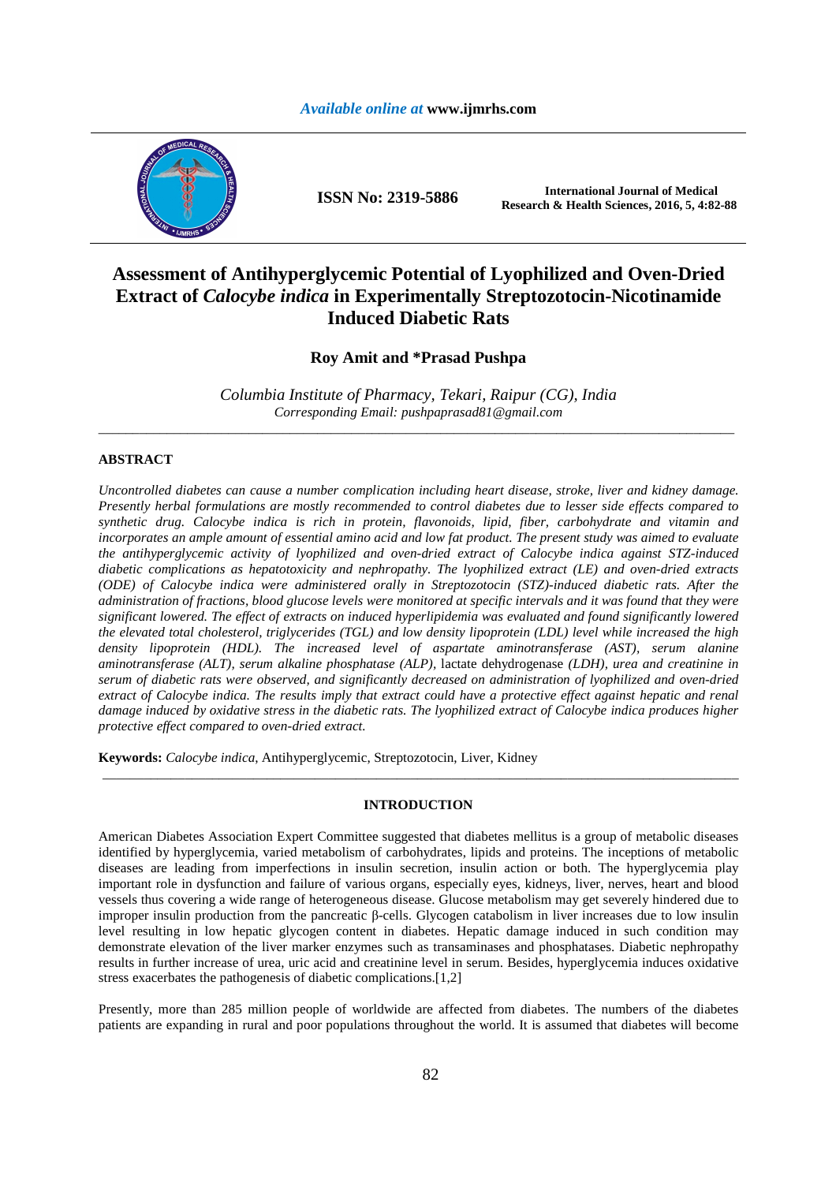

**ISSN No: 2319-5886 International Journal of Medical Research & Health Sciences, 2016, 5, 4:82-88** 

# **Assessment of Antihyperglycemic Potential of Lyophilized and Oven-Dried Extract of** *Calocybe indica* **in Experimentally Streptozotocin-Nicotinamide Induced Diabetic Rats**

# **Roy Amit and \*Prasad Pushpa**

*Columbia Institute of Pharmacy, Tekari, Raipur (CG), India Corresponding Email: pushpaprasad81@gmail.com*  \_\_\_\_\_\_\_\_\_\_\_\_\_\_\_\_\_\_\_\_\_\_\_\_\_\_\_\_\_\_\_\_\_\_\_\_\_\_\_\_\_\_\_\_\_\_\_\_\_\_\_\_\_\_\_\_\_\_\_\_\_\_\_\_\_\_\_\_\_\_\_\_\_\_\_\_\_\_\_\_\_\_\_\_\_\_\_\_\_\_\_\_\_

# **ABSTRACT**

*Uncontrolled diabetes can cause a number complication including heart disease, stroke, liver and kidney damage. Presently herbal formulations are mostly recommended to control diabetes due to lesser side effects compared to synthetic drug. Calocybe indica is rich in protein, flavonoids, lipid, fiber, carbohydrate and vitamin and incorporates an ample amount of essential amino acid and low fat product. The present study was aimed to evaluate the antihyperglycemic activity of lyophilized and oven-dried extract of Calocybe indica against STZ-induced diabetic complications as hepatotoxicity and nephropathy. The lyophilized extract (LE) and oven-dried extracts (ODE) of Calocybe indica were administered orally in Streptozotocin (STZ)-induced diabetic rats. After the administration of fractions, blood glucose levels were monitored at specific intervals and it was found that they were significant lowered. The effect of extracts on induced hyperlipidemia was evaluated and found significantly lowered the elevated total cholesterol, triglycerides (TGL) and low density lipoprotein (LDL) level while increased the high density lipoprotein (HDL). The increased level of aspartate aminotransferase (AST), serum alanine aminotransferase (ALT), serum alkaline phosphatase (ALP),* lactate dehydrogenase *(LDH), urea and creatinine in serum of diabetic rats were observed, and significantly decreased on administration of lyophilized and oven-dried extract of Calocybe indica. The results imply that extract could have a protective effect against hepatic and renal damage induced by oxidative stress in the diabetic rats. The lyophilized extract of Calocybe indica produces higher protective effect compared to oven-dried extract.* 

**Keywords:** *Calocybe indica*, Antihyperglycemic, Streptozotocin, Liver, Kidney

# **INTRODUCTION**

\_\_\_\_\_\_\_\_\_\_\_\_\_\_\_\_\_\_\_\_\_\_\_\_\_\_\_\_\_\_\_\_\_\_\_\_\_\_\_\_\_\_\_\_\_\_\_\_\_\_\_\_\_\_\_\_\_\_\_\_\_\_\_\_\_\_\_\_\_\_\_\_\_\_\_\_\_\_\_\_\_\_\_\_\_\_\_\_\_\_\_\_\_

American Diabetes Association Expert Committee suggested that diabetes mellitus is a group of metabolic diseases identified by hyperglycemia, varied metabolism of carbohydrates, lipids and proteins. The inceptions of metabolic diseases are leading from imperfections in insulin secretion, insulin action or both. The hyperglycemia play important role in dysfunction and failure of various organs, especially eyes, kidneys, liver, nerves, heart and blood vessels thus covering a wide range of heterogeneous disease. Glucose metabolism may get severely hindered due to improper insulin production from the pancreatic β-cells. Glycogen catabolism in liver increases due to low insulin level resulting in low hepatic glycogen content in diabetes. Hepatic damage induced in such condition may demonstrate elevation of the liver marker enzymes such as transaminases and phosphatases. Diabetic nephropathy results in further increase of urea, uric acid and creatinine level in serum. Besides, hyperglycemia induces oxidative stress exacerbates the pathogenesis of diabetic complications.[1,2]

Presently, more than 285 million people of worldwide are affected from diabetes. The numbers of the diabetes patients are expanding in rural and poor populations throughout the world. It is assumed that diabetes will become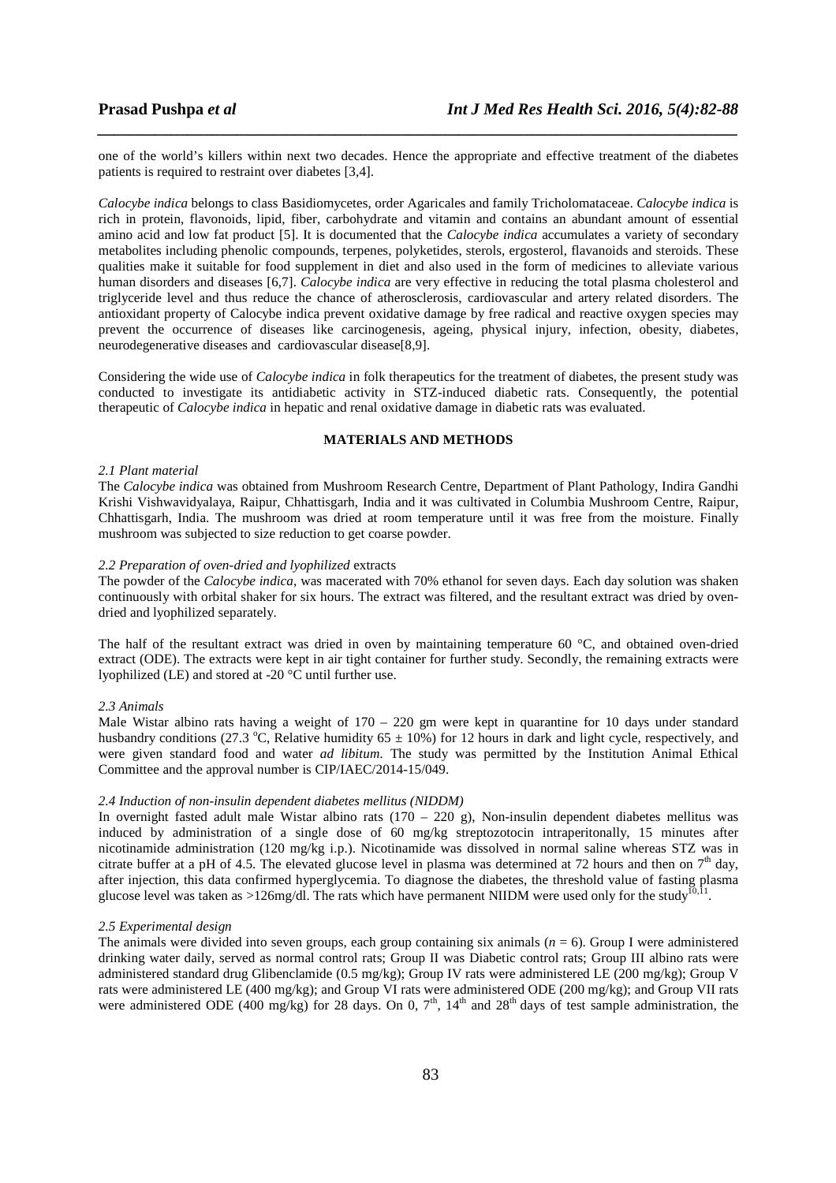one of the world's killers within next two decades. Hence the appropriate and effective treatment of the diabetes patients is required to restraint over diabetes [3,4].

*\_\_\_\_\_\_\_\_\_\_\_\_\_\_\_\_\_\_\_\_\_\_\_\_\_\_\_\_\_\_\_\_\_\_\_\_\_\_\_\_\_\_\_\_\_\_\_\_\_\_\_\_\_\_\_\_\_\_\_\_\_\_\_\_\_\_\_\_\_\_\_\_\_\_\_\_\_\_*

*Calocybe indica* belongs to class Basidiomycetes, order Agaricales and family Tricholomataceae. *Calocybe indica* is rich in protein, flavonoids, lipid, fiber, carbohydrate and vitamin and contains an abundant amount of essential amino acid and low fat product [5]. It is documented that the *Calocybe indica* accumulates a variety of secondary metabolites including phenolic compounds, terpenes, polyketides, sterols, ergosterol, flavanoids and steroids. These qualities make it suitable for food supplement in diet and also used in the form of medicines to alleviate various human disorders and diseases [6,7]. *Calocybe indica* are very effective in reducing the total plasma cholesterol and triglyceride level and thus reduce the chance of atherosclerosis, cardiovascular and artery related disorders. The antioxidant property of Calocybe indica prevent oxidative damage by free radical and reactive oxygen species may prevent the occurrence of diseases like carcinogenesis, ageing, physical injury, infection, obesity, diabetes, neurodegenerative diseases and cardiovascular disease[8,9].

Considering the wide use of *Calocybe indica* in folk therapeutics for the treatment of diabetes, the present study was conducted to investigate its antidiabetic activity in STZ-induced diabetic rats. Consequently, the potential therapeutic of *Calocybe indica* in hepatic and renal oxidative damage in diabetic rats was evaluated.

# **MATERIALS AND METHODS**

# *2.1 Plant material*

The *Calocybe indica* was obtained from Mushroom Research Centre, Department of Plant Pathology, Indira Gandhi Krishi Vishwavidyalaya, Raipur, Chhattisgarh, India and it was cultivated in Columbia Mushroom Centre, Raipur, Chhattisgarh, India. The mushroom was dried at room temperature until it was free from the moisture. Finally mushroom was subjected to size reduction to get coarse powder.

# *2.2 Preparation of oven-dried and lyophilized* extracts

The powder of the *Calocybe indica*, was macerated with 70% ethanol for seven days. Each day solution was shaken continuously with orbital shaker for six hours. The extract was filtered, and the resultant extract was dried by ovendried and lyophilized separately.

The half of the resultant extract was dried in oven by maintaining temperature 60 °C, and obtained oven-dried extract (ODE). The extracts were kept in air tight container for further study. Secondly, the remaining extracts were lyophilized (LE) and stored at -20  $\degree$ C until further use.

#### *2.3 Animals*

Male Wistar albino rats having a weight of  $170 - 220$  gm were kept in quarantine for 10 days under standard husbandry conditions (27.3 °C, Relative humidity  $65 \pm 10\%$ ) for 12 hours in dark and light cycle, respectively, and were given standard food and water *ad libitum*. The study was permitted by the Institution Animal Ethical Committee and the approval number is CIP/IAEC/2014-15/049.

#### *2.4 Induction of non-insulin dependent diabetes mellitus (NIDDM)*

In overnight fasted adult male Wistar albino rats  $(170 - 220)$  g), Non-insulin dependent diabetes mellitus was induced by administration of a single dose of 60 mg/kg streptozotocin intraperitonally, 15 minutes after nicotinamide administration (120 mg/kg i.p.). Nicotinamide was dissolved in normal saline whereas STZ was in citrate buffer at a pH of 4.5. The elevated glucose level in plasma was determined at 72 hours and then on  $7<sup>th</sup>$  day, after injection, this data confirmed hyperglycemia. To diagnose the diabetes, the threshold value of fasting plasma glucose level was taken as >126mg/dl. The rats which have permanent NIIDM were used only for the study<sup>10,11</sup>.

### *2.5 Experimental design*

The animals were divided into seven groups, each group containing six animals (*n* = 6). Group I were administered drinking water daily, served as normal control rats; Group II was Diabetic control rats; Group III albino rats were administered standard drug Glibenclamide (0.5 mg/kg); Group IV rats were administered LE (200 mg/kg); Group V rats were administered LE (400 mg/kg); and Group VI rats were administered ODE (200 mg/kg); and Group VII rats were administered ODE (400 mg/kg) for 28 days. On 0,  $7<sup>th</sup>$ ,  $14<sup>th</sup>$  and  $28<sup>th</sup>$  days of test sample administration, the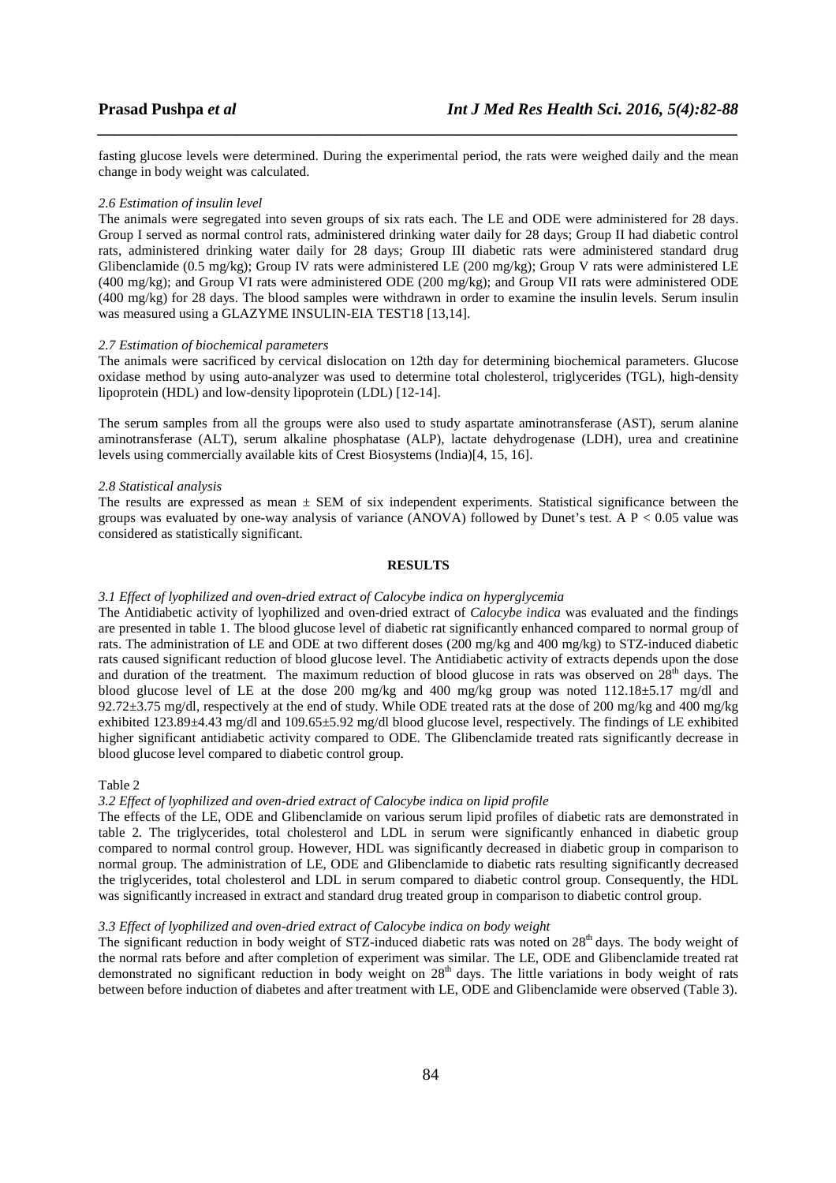fasting glucose levels were determined. During the experimental period, the rats were weighed daily and the mean change in body weight was calculated.

*\_\_\_\_\_\_\_\_\_\_\_\_\_\_\_\_\_\_\_\_\_\_\_\_\_\_\_\_\_\_\_\_\_\_\_\_\_\_\_\_\_\_\_\_\_\_\_\_\_\_\_\_\_\_\_\_\_\_\_\_\_\_\_\_\_\_\_\_\_\_\_\_\_\_\_\_\_\_*

#### *2.6 Estimation of insulin level*

The animals were segregated into seven groups of six rats each. The LE and ODE were administered for 28 days. Group I served as normal control rats, administered drinking water daily for 28 days; Group II had diabetic control rats, administered drinking water daily for 28 days; Group III diabetic rats were administered standard drug Glibenclamide (0.5 mg/kg); Group IV rats were administered LE (200 mg/kg); Group V rats were administered LE (400 mg/kg); and Group VI rats were administered ODE (200 mg/kg); and Group VII rats were administered ODE (400 mg/kg) for 28 days. The blood samples were withdrawn in order to examine the insulin levels. Serum insulin was measured using a GLAZYME INSULIN-EIA TEST18 [13,14].

#### *2.7 Estimation of biochemical parameters*

The animals were sacrificed by cervical dislocation on 12th day for determining biochemical parameters. Glucose oxidase method by using auto-analyzer was used to determine total cholesterol, triglycerides (TGL), high-density lipoprotein (HDL) and low-density lipoprotein (LDL) [12-14].

The serum samples from all the groups were also used to study aspartate aminotransferase (AST), serum alanine aminotransferase (ALT), serum alkaline phosphatase (ALP), lactate dehydrogenase (LDH), urea and creatinine levels using commercially available kits of Crest Biosystems (India)[4, 15, 16].

### *2.8 Statistical analysis*

The results are expressed as mean  $\pm$  SEM of six independent experiments. Statistical significance between the groups was evaluated by one-way analysis of variance (ANOVA) followed by Dunet's test. A  $P < 0.05$  value was considered as statistically significant.

# **RESULTS**

### *3.1 Effect of lyophilized and oven-dried extract of Calocybe indica on hyperglycemia*

The Antidiabetic activity of lyophilized and oven-dried extract of *Calocybe indica* was evaluated and the findings are presented in table 1. The blood glucose level of diabetic rat significantly enhanced compared to normal group of rats. The administration of LE and ODE at two different doses (200 mg/kg and 400 mg/kg) to STZ-induced diabetic rats caused significant reduction of blood glucose level. The Antidiabetic activity of extracts depends upon the dose and duration of the treatment. The maximum reduction of blood glucose in rats was observed on  $28<sup>th</sup>$  days. The blood glucose level of LE at the dose 200 mg/kg and 400 mg/kg group was noted 112.18±5.17 mg/dl and 92.72 $\pm$ 3.75 mg/dl, respectively at the end of study. While ODE treated rats at the dose of 200 mg/kg and 400 mg/kg exhibited 123.89±4.43 mg/dl and 109.65±5.92 mg/dl blood glucose level, respectively. The findings of LE exhibited higher significant antidiabetic activity compared to ODE. The Glibenclamide treated rats significantly decrease in blood glucose level compared to diabetic control group.

#### Table 2

#### *3.2 Effect of lyophilized and oven-dried extract of Calocybe indica on lipid profile*

The effects of the LE, ODE and Glibenclamide on various serum lipid profiles of diabetic rats are demonstrated in table 2. The triglycerides, total cholesterol and LDL in serum were significantly enhanced in diabetic group compared to normal control group. However, HDL was significantly decreased in diabetic group in comparison to normal group. The administration of LE, ODE and Glibenclamide to diabetic rats resulting significantly decreased the triglycerides, total cholesterol and LDL in serum compared to diabetic control group. Consequently, the HDL was significantly increased in extract and standard drug treated group in comparison to diabetic control group.

### *3.3 Effect of lyophilized and oven-dried extract of Calocybe indica on body weight*

The significant reduction in body weight of STZ-induced diabetic rats was noted on  $28<sup>th</sup>$  days. The body weight of the normal rats before and after completion of experiment was similar. The LE, ODE and Glibenclamide treated rat demonstrated no significant reduction in body weight on  $28<sup>th</sup>$  days. The little variations in body weight of rats between before induction of diabetes and after treatment with LE, ODE and Glibenclamide were observed (Table 3).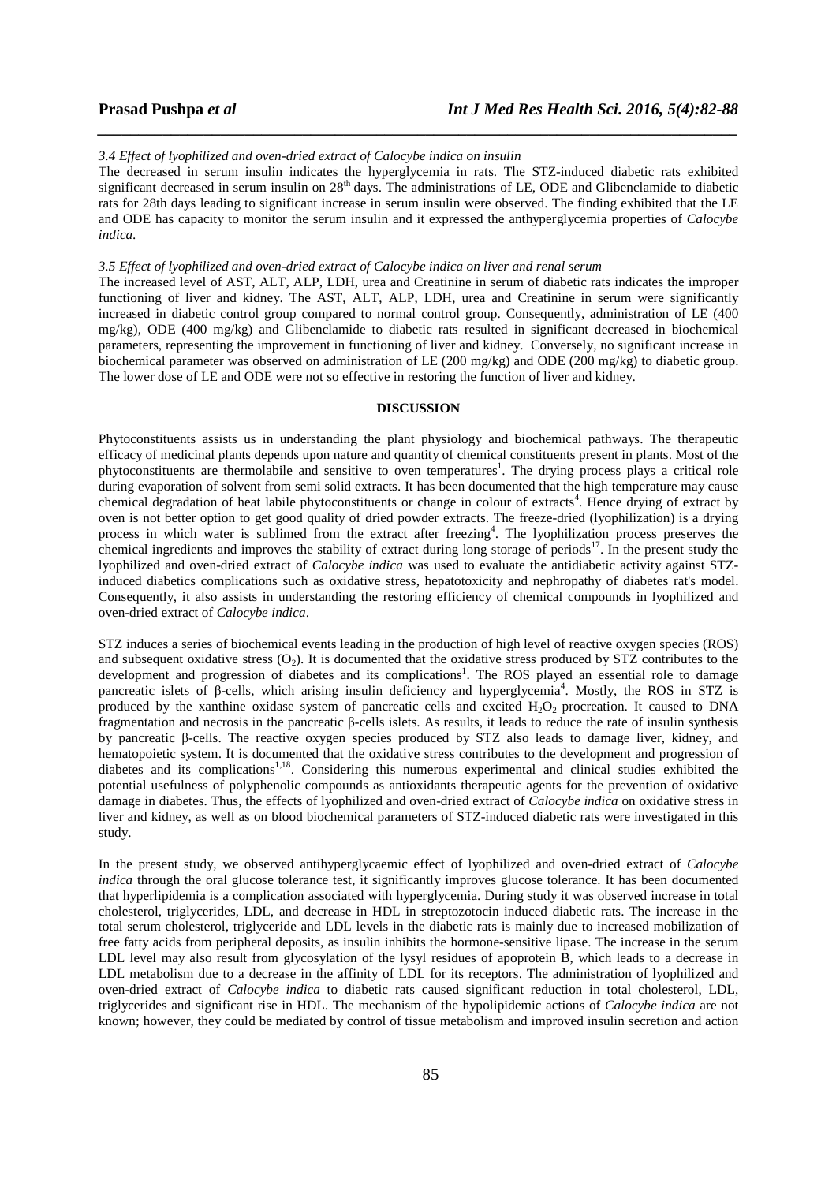#### *3.4 Effect of lyophilized and oven-dried extract of Calocybe indica on insulin*

The decreased in serum insulin indicates the hyperglycemia in rats. The STZ-induced diabetic rats exhibited significant decreased in serum insulin on 28<sup>th</sup> days. The administrations of LE, ODE and Glibenclamide to diabetic rats for 28th days leading to significant increase in serum insulin were observed. The finding exhibited that the LE and ODE has capacity to monitor the serum insulin and it expressed the anthyperglycemia properties of *Calocybe indica*.

*\_\_\_\_\_\_\_\_\_\_\_\_\_\_\_\_\_\_\_\_\_\_\_\_\_\_\_\_\_\_\_\_\_\_\_\_\_\_\_\_\_\_\_\_\_\_\_\_\_\_\_\_\_\_\_\_\_\_\_\_\_\_\_\_\_\_\_\_\_\_\_\_\_\_\_\_\_\_*

### *3.5 Effect of lyophilized and oven-dried extract of Calocybe indica on liver and renal serum*

The increased level of AST, ALT, ALP, LDH, urea and Creatinine in serum of diabetic rats indicates the improper functioning of liver and kidney. The AST, ALT, ALP, LDH, urea and Creatinine in serum were significantly increased in diabetic control group compared to normal control group. Consequently, administration of LE (400 mg/kg), ODE (400 mg/kg) and Glibenclamide to diabetic rats resulted in significant decreased in biochemical parameters, representing the improvement in functioning of liver and kidney. Conversely, no significant increase in biochemical parameter was observed on administration of LE (200 mg/kg) and ODE (200 mg/kg) to diabetic group. The lower dose of LE and ODE were not so effective in restoring the function of liver and kidney.

# **DISCUSSION**

Phytoconstituents assists us in understanding the plant physiology and biochemical pathways. The therapeutic efficacy of medicinal plants depends upon nature and quantity of chemical constituents present in plants. Most of the phytoconstituents are thermolabile and sensitive to oven temperatures<sup>1</sup>. The drying process plays a critical role during evaporation of solvent from semi solid extracts. It has been documented that the high temperature may cause chemical degradation of heat labile phytoconstituents or change in colour of extracts<sup>4</sup>. Hence drying of extract by oven is not better option to get good quality of dried powder extracts. The freeze-dried (lyophilization) is a drying process in which water is sublimed from the extract after freezing<sup>4</sup>. The lyophilization process preserves the chemical ingredients and improves the stability of extract during long storage of periods $17$ . In the present study the lyophilized and oven-dried extract of *Calocybe indica* was used to evaluate the antidiabetic activity against STZinduced diabetics complications such as oxidative stress, hepatotoxicity and nephropathy of diabetes rat's model. Consequently, it also assists in understanding the restoring efficiency of chemical compounds in lyophilized and oven-dried extract of *Calocybe indica*.

STZ induces a series of biochemical events leading in the production of high level of reactive oxygen species (ROS) and subsequent oxidative stress  $(O_2)$ . It is documented that the oxidative stress produced by STZ contributes to the development and progression of diabetes and its complications<sup>1</sup>. The ROS played an essential role to damage pancreatic islets of β-cells, which arising insulin deficiency and hyperglycemia<sup>4</sup>. Mostly, the ROS in STZ is produced by the xanthine oxidase system of pancreatic cells and excited  $H_2O_2$  procreation. It caused to DNA fragmentation and necrosis in the pancreatic β-cells islets. As results, it leads to reduce the rate of insulin synthesis by pancreatic β-cells. The reactive oxygen species produced by STZ also leads to damage liver, kidney, and hematopoietic system. It is documented that the oxidative stress contributes to the development and progression of diabetes and its complications<sup>1,18</sup>. Considering this numerous experimental and clinical studies exhibited the potential usefulness of polyphenolic compounds as antioxidants therapeutic agents for the prevention of oxidative damage in diabetes. Thus, the effects of lyophilized and oven-dried extract of *Calocybe indica* on oxidative stress in liver and kidney, as well as on blood biochemical parameters of STZ-induced diabetic rats were investigated in this study.

In the present study, we observed antihyperglycaemic effect of lyophilized and oven-dried extract of *Calocybe indica* through the oral glucose tolerance test, it significantly improves glucose tolerance. It has been documented that hyperlipidemia is a complication associated with hyperglycemia. During study it was observed increase in total cholesterol, triglycerides, LDL, and decrease in HDL in streptozotocin induced diabetic rats. The increase in the total serum cholesterol, triglyceride and LDL levels in the diabetic rats is mainly due to increased mobilization of free fatty acids from peripheral deposits, as insulin inhibits the hormone-sensitive lipase. The increase in the serum LDL level may also result from glycosylation of the lysyl residues of apoprotein B, which leads to a decrease in LDL metabolism due to a decrease in the affinity of LDL for its receptors. The administration of lyophilized and oven-dried extract of *Calocybe indica* to diabetic rats caused significant reduction in total cholesterol, LDL, triglycerides and significant rise in HDL. The mechanism of the hypolipidemic actions of *Calocybe indica* are not known; however, they could be mediated by control of tissue metabolism and improved insulin secretion and action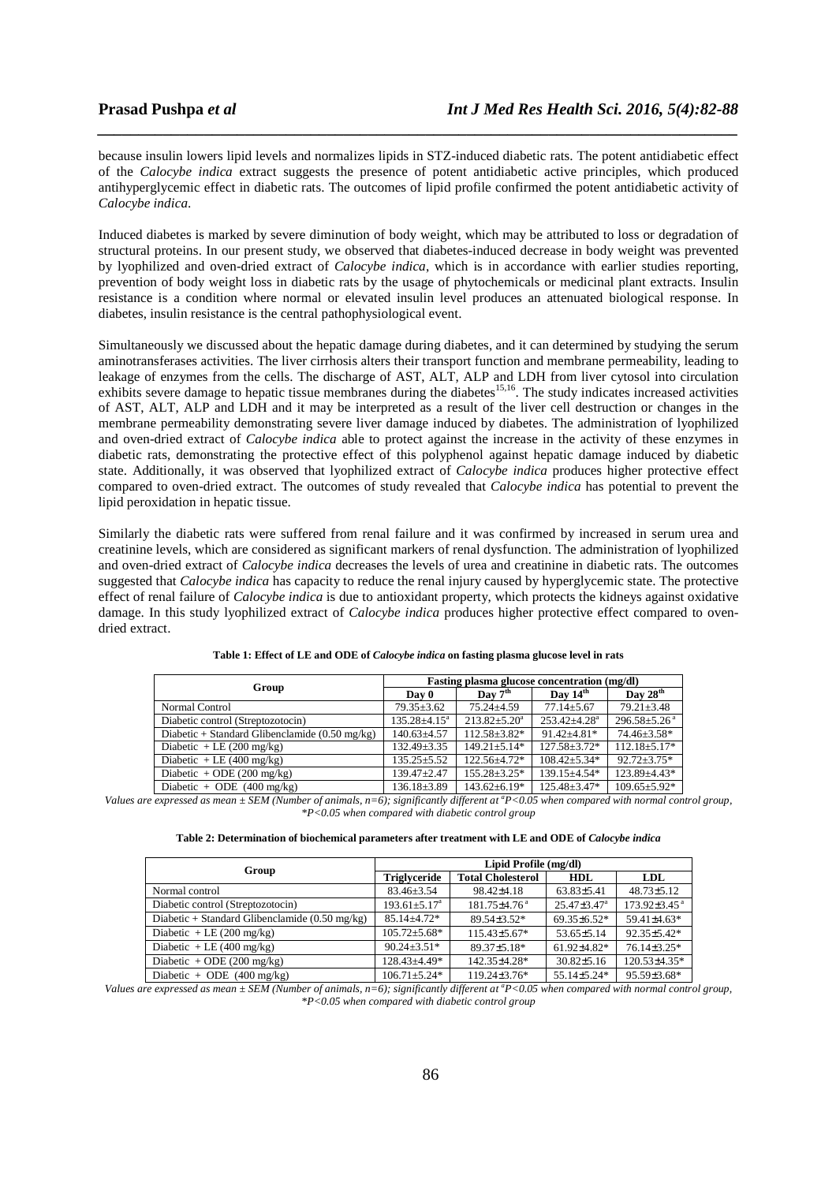because insulin lowers lipid levels and normalizes lipids in STZ-induced diabetic rats. The potent antidiabetic effect of the *Calocybe indica* extract suggests the presence of potent antidiabetic active principles, which produced antihyperglycemic effect in diabetic rats. The outcomes of lipid profile confirmed the potent antidiabetic activity of *Calocybe indica*.

*\_\_\_\_\_\_\_\_\_\_\_\_\_\_\_\_\_\_\_\_\_\_\_\_\_\_\_\_\_\_\_\_\_\_\_\_\_\_\_\_\_\_\_\_\_\_\_\_\_\_\_\_\_\_\_\_\_\_\_\_\_\_\_\_\_\_\_\_\_\_\_\_\_\_\_\_\_\_*

Induced diabetes is marked by severe diminution of body weight, which may be attributed to loss or degradation of structural proteins. In our present study, we observed that diabetes-induced decrease in body weight was prevented by lyophilized and oven-dried extract of *Calocybe indica*, which is in accordance with earlier studies reporting, prevention of body weight loss in diabetic rats by the usage of phytochemicals or medicinal plant extracts. Insulin resistance is a condition where normal or elevated insulin level produces an attenuated biological response. In diabetes, insulin resistance is the central pathophysiological event.

Simultaneously we discussed about the hepatic damage during diabetes, and it can determined by studying the serum aminotransferases activities. The liver cirrhosis alters their transport function and membrane permeability, leading to leakage of enzymes from the cells. The discharge of AST, ALT, ALP and LDH from liver cytosol into circulation exhibits severe damage to hepatic tissue membranes during the diabetes<sup>15,16</sup>. The study indicates increased activities of AST, ALT, ALP and LDH and it may be interpreted as a result of the liver cell destruction or changes in the membrane permeability demonstrating severe liver damage induced by diabetes. The administration of lyophilized and oven-dried extract of *Calocybe indica* able to protect against the increase in the activity of these enzymes in diabetic rats, demonstrating the protective effect of this polyphenol against hepatic damage induced by diabetic state. Additionally, it was observed that lyophilized extract of *Calocybe indica* produces higher protective effect compared to oven-dried extract. The outcomes of study revealed that *Calocybe indica* has potential to prevent the lipid peroxidation in hepatic tissue.

Similarly the diabetic rats were suffered from renal failure and it was confirmed by increased in serum urea and creatinine levels, which are considered as significant markers of renal dysfunction. The administration of lyophilized and oven-dried extract of *Calocybe indica* decreases the levels of urea and creatinine in diabetic rats. The outcomes suggested that *Calocybe indica* has capacity to reduce the renal injury caused by hyperglycemic state. The protective effect of renal failure of *Calocybe indica* is due to antioxidant property, which protects the kidneys against oxidative damage. In this study lyophilized extract of *Calocybe indica* produces higher protective effect compared to ovendried extract.

|                                                | Fasting plasma glucose concentration (mg/dl) |                    |                                |                                |  |
|------------------------------------------------|----------------------------------------------|--------------------|--------------------------------|--------------------------------|--|
| Group                                          | Dav 0                                        | Day $7th$          | Day $14th$                     | Day $28^{\text{th}}$           |  |
| Normal Control                                 | $79.35 \pm 3.62$                             | $75.24 + 4.59$     | $77.14 + 5.67$                 | $79.21 \pm 3.48$               |  |
| Diabetic control (Streptozotocin)              | $135.28 \pm 4.15^a$                          | $213.82 + 5.20^a$  | $253.42 \pm 4.28$ <sup>a</sup> | $296.58 \pm 5.26$ <sup>a</sup> |  |
| Diabetic + Standard Glibenclamide (0.50 mg/kg) | $140.63 \pm 4.57$                            | $112.58 + 3.82*$   | $91.42 + 4.81*$                | $74.46 + 3.58*$                |  |
| Diabetic + LE $(200 \text{ mg/kg})$            | $132.49 \pm 3.35$                            | $149.21 + 5.14*$   | $127.58 \pm 3.72*$             | $112.18 + 5.17*$               |  |
| Diabetic + LE $(400 \text{ mg/kg})$            | $135.25 \pm 5.52$                            | $122.56 + 4.72*$   | $108.42 + 5.34*$               | $92.72 + 3.75*$                |  |
| Diabetic + ODE $(200 \text{ mg/kg})$           | $139.47 \pm 2.47$                            | 155.28±3.25*       | 139.15±4.54*                   | 123.89+4.43*                   |  |
| Diabetic + ODE $(400 \text{ mg/kg})$           | $136.18 \pm 3.89$                            | $143.62 \pm 6.19*$ | $125.48 \pm 3.47*$             | $109.65 \pm 5.92*$             |  |

| Table 1: Effect of LE and ODE of <i>Calocybe indica</i> on fasting plasma glucose level in rats |  |  |
|-------------------------------------------------------------------------------------------------|--|--|
|                                                                                                 |  |  |

*Values are expressed as mean*  $\pm$  *SEM (Number of animals, n=6); significantly different at <sup>a</sup>P<0.05 when compared with normal control group, \*P<0.05 when compared with diabetic control group* 

| Table 2: Determination of biochemical parameters after treatment with LE and ODE of <i>Calocybe indica</i> |  |  |
|------------------------------------------------------------------------------------------------------------|--|--|
|------------------------------------------------------------------------------------------------------------|--|--|

| Group                                                    | Lipid Profile (mg/dl)          |                                |                               |                              |  |
|----------------------------------------------------------|--------------------------------|--------------------------------|-------------------------------|------------------------------|--|
|                                                          | <b>Triglyceride</b>            | <b>Total Cholesterol</b>       | <b>HDL</b>                    | <b>LDL</b>                   |  |
| Normal control                                           | $83.46 \pm 3.54$               | 98.42±4.18                     | 63.83±5.41                    | $48.73 \pm 5.12$             |  |
| Diabetic control (Streptozotocin)                        | $193.61 \pm 5.17^{\mathrm{a}}$ | $181.75 \pm 4.76$ <sup>a</sup> | $25.47 \pm 3.47$ <sup>a</sup> | $173.92\pm3.45$ <sup>a</sup> |  |
| Diabetic + Standard Glibenclamide $(0.50 \text{ mg/kg})$ | $85.14 \pm 4.72*$              | $89.54 + 3.52*$                | $69.35\pm6.52*$               | 59.41±4.63*                  |  |
| Diabetic + LE $(200 \text{ mg/kg})$                      | $105.72 \pm 5.68*$             | $115.43\pm5.67*$               | $53.65 \pm 5.14$              | 92.35±5.42*                  |  |
| Diabetic + LE $(400 \text{ mg/kg})$                      | $90.24 \pm 3.51*$              | 89.37±5.18*                    | $61.92{\pm}4.82*$             | 76.14±3.25*                  |  |
| Diabetic + ODE $(200 \text{ mg/kg})$                     | 128.43+4.49*                   | 142.35+4.28*                   | $30.82 \pm 5.16$              | 120.53±4.35*                 |  |
| Diabetic + ODE $(400 \text{ mg/kg})$                     | $106.71 + 5.24*$               | $119.24 \pm 3.76*$             | $55.14 \pm 5.24*$             | $95.59 \pm 3.68*$            |  |

*Values are expressed as mean*  $\pm$  *SEM (Number of animals, n=6); significantly different at <sup><i>a*</sup>*P*<0.05 when compared with normal control group, *\*P<0.05 when compared with diabetic control group*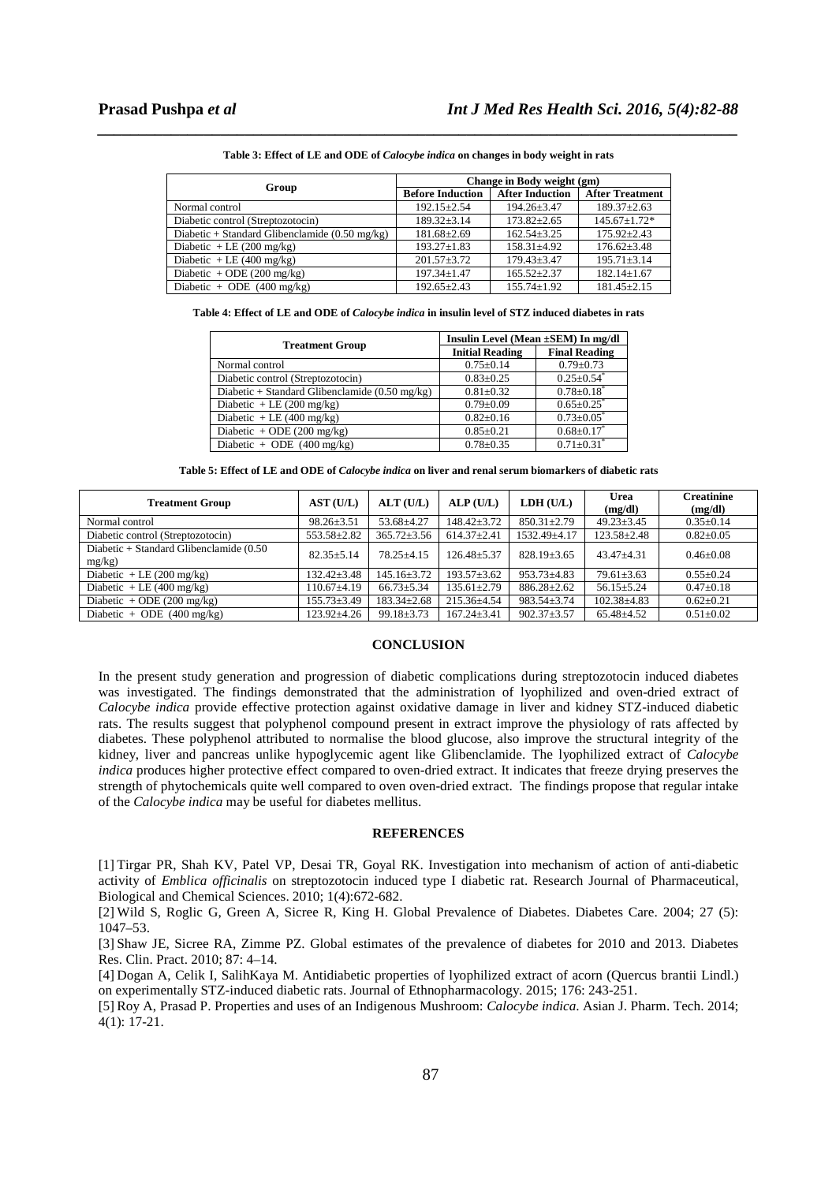| Group                                                    | Change in Body weight (gm) |                        |                        |  |  |
|----------------------------------------------------------|----------------------------|------------------------|------------------------|--|--|
|                                                          | <b>Before Induction</b>    | <b>After Induction</b> | <b>After Treatment</b> |  |  |
| Normal control                                           | $192.15 \pm 2.54$          | $194.26 \pm 3.47$      | $189.37 \pm 2.63$      |  |  |
| Diabetic control (Streptozotocin)                        | $189.32 + 3.14$            | $173.82 \pm 2.65$      | $145.67 + 1.72*$       |  |  |
| Diabetic + Standard Glibenclamide $(0.50 \text{ mg/kg})$ | $181.68 \pm 2.69$          | $162.54 + 3.25$        | $175.92 + 2.43$        |  |  |
| Diabetic + LE $(200 \text{ mg/kg})$                      | $193.27 + 1.83$            | $158.31 + 4.92$        | $176.62 + 3.48$        |  |  |
| Diabetic + LE $(400 \text{ mg/kg})$                      | $201.57 + 3.72$            | $179.43 + 3.47$        | $195.71 + 3.14$        |  |  |
| Diabetic + ODE $(200 \text{ mg/kg})$                     | $197.34 + 1.47$            | $165.52 + 2.37$        | $182.14 \pm 1.67$      |  |  |
| Diabetic + ODE $(400 \text{ mg/kg})$                     | $192.65 + 2.43$            | $155.74 + 1.92$        | $181.45 + 2.15$        |  |  |

*\_\_\_\_\_\_\_\_\_\_\_\_\_\_\_\_\_\_\_\_\_\_\_\_\_\_\_\_\_\_\_\_\_\_\_\_\_\_\_\_\_\_\_\_\_\_\_\_\_\_\_\_\_\_\_\_\_\_\_\_\_\_\_\_\_\_\_\_\_\_\_\_\_\_\_\_\_\_* **Table 3: Effect of LE and ODE of** *Calocybe indica* **on changes in body weight in rats** 

**Table 4: Effect of LE and ODE of** *Calocybe indica* **in insulin level of STZ induced diabetes in rats** 

| <b>Treatment Group</b>                         | Insulin Level (Mean ±SEM) In mg/dl |                              |  |  |
|------------------------------------------------|------------------------------------|------------------------------|--|--|
|                                                | <b>Initial Reading</b>             | <b>Final Reading</b>         |  |  |
| Normal control                                 | $0.75 \pm 0.14$                    | $0.79 \pm 0.73$              |  |  |
| Diabetic control (Streptozotocin)              | $0.83 \pm 0.25$                    | $0.25 \pm 0.54$ <sup>*</sup> |  |  |
| Diabetic + Standard Glibenclamide (0.50 mg/kg) | $0.81 \pm 0.32$                    | $0.78 \pm 0.18$              |  |  |
| Diabetic + LE $(200 \text{ mg/kg})$            | $0.79 \pm 0.09$                    | $0.65 \pm 0.25$              |  |  |
| Diabetic + LE $(400 \text{ mg/kg})$            | $0.82 \pm 0.16$                    | $0.73 \pm 0.05^*$            |  |  |
| Diabetic + ODE $(200 \text{ mg/kg})$           | $0.85 \pm 0.21$                    | $0.68 \pm 0.17$ *            |  |  |
| Diabetic + ODE $(400 \text{ mg/kg})$           | $0.78 \pm 0.35$                    | $0.71 \pm 0.31^*$            |  |  |

**Table 5: Effect of LE and ODE of** *Calocybe indica* **on liver and renal serum biomarkers of diabetic rats** 

| <b>Treatment Group</b>                               | AST (U/L)         | ALT(U/L)          | ALP(U/L)          | LDH (U/L)         | Urea<br>(mg/dl)   | <b>Creatinine</b><br>(mg/dl) |
|------------------------------------------------------|-------------------|-------------------|-------------------|-------------------|-------------------|------------------------------|
| Normal control                                       | $98.26 \pm 3.51$  | 53.68±4.27        | $148.42 \pm 3.72$ | $850.31 \pm 2.79$ | $49.23 \pm 3.45$  | $0.35 \pm 0.14$              |
| Diabetic control (Streptozotocin)                    | 553.58±2.82       | $365.72 \pm 3.56$ | $614.37 \pm 2.41$ | 1532.49±4.17      | $123.58 \pm 2.48$ | $0.82 \pm 0.05$              |
| Diabetic + Standard Glibenclamide (0.50<br>$mg/kg$ ) | $82.35 + 5.14$    | $78.25 + 4.15$    | $126.48 \pm 5.37$ | $828.19 \pm 3.65$ | $43.47 + 4.31$    | $0.46 + 0.08$                |
| Diabetic + LE $(200 \text{ mg/kg})$                  | $132.42 \pm 3.48$ | $145.16 \pm 3.72$ | $193.57 \pm 3.62$ | $953.73 \pm 4.83$ | $79.61 \pm 3.63$  | $0.55 \pm 0.24$              |
| Diabetic + LE $(400 \text{ mg/kg})$                  | $110.67 \pm 4.19$ | $66.73 \pm 5.34$  | $135.61 \pm 2.79$ | $886.28 \pm 2.62$ | $56.15 \pm 5.24$  | $0.47 \pm 0.18$              |
| Diabetic + ODE $(200 \text{ mg/kg})$                 | $155.73 \pm 3.49$ | $183.34 \pm 2.68$ | $215.36 \pm 4.54$ | $983.54 \pm 3.74$ | $102.38 \pm 4.83$ | $0.62 \pm 0.21$              |
| Diabetic + ODE $(400 \text{ mg/kg})$                 | $123.92 \pm 4.26$ | $99.18 \pm 3.73$  | $167.24 \pm 3.41$ | $902.37 \pm 3.57$ | $65.48 \pm 4.52$  | $0.51 \pm 0.02$              |

# **CONCLUSION**

In the present study generation and progression of diabetic complications during streptozotocin induced diabetes was investigated. The findings demonstrated that the administration of lyophilized and oven-dried extract of *Calocybe indica* provide effective protection against oxidative damage in liver and kidney STZ-induced diabetic rats. The results suggest that polyphenol compound present in extract improve the physiology of rats affected by diabetes. These polyphenol attributed to normalise the blood glucose, also improve the structural integrity of the kidney, liver and pancreas unlike hypoglycemic agent like Glibenclamide. The lyophilized extract of *Calocybe indica* produces higher protective effect compared to oven-dried extract. It indicates that freeze drying preserves the strength of phytochemicals quite well compared to oven oven-dried extract. The findings propose that regular intake of the *Calocybe indica* may be useful for diabetes mellitus.

#### **REFERENCES**

[1] Tirgar PR, Shah KV, Patel VP, Desai TR, Goyal RK. Investigation into mechanism of action of anti-diabetic activity of *Emblica officinalis* on streptozotocin induced type I diabetic rat. Research Journal of Pharmaceutical, Biological and Chemical Sciences. 2010; 1(4):672-682.

[2] Wild S, Roglic G, Green A, Sicree R, King H. Global Prevalence of Diabetes. Diabetes Care. 2004; 27 (5): 1047–53.

[3] Shaw JE, Sicree RA, Zimme PZ. Global estimates of the prevalence of diabetes for 2010 and 2013. Diabetes Res. Clin. Pract. 2010; 87: 4–14.

[4] Dogan A, Celik I, SalihKaya M. Antidiabetic properties of lyophilized extract of acorn (Quercus brantii Lindl.) on experimentally STZ-induced diabetic rats. Journal of Ethnopharmacology. 2015; 176: 243-251.

[5] Roy A, Prasad P. Properties and uses of an Indigenous Mushroom: *Calocybe indica*. Asian J. Pharm. Tech. 2014; 4(1): 17-21.